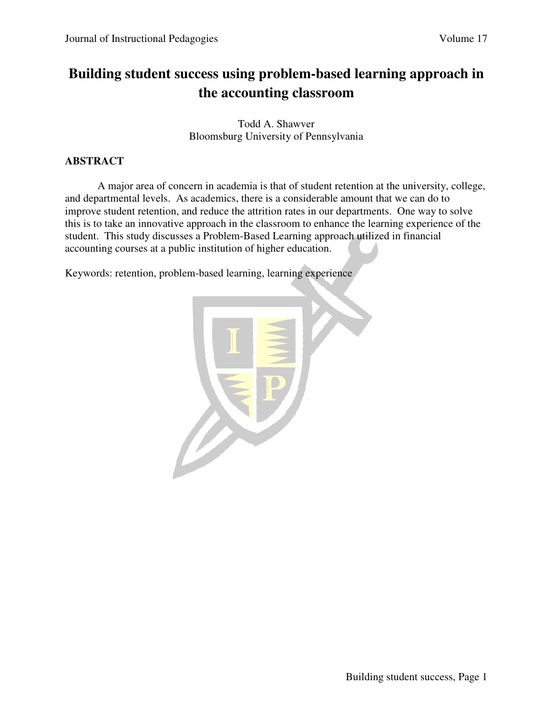## **Building student success using problem-based learning approach in the accounting classroom**

Todd A. Shawver Bloomsburg University of Pennsylvania

## **ABSTRACT**

A major area of concern in academia is that of student retention at the university, college, and departmental levels. As academics, there is a considerable amount that we can do to improve student retention, and reduce the attrition rates in our departments. One way to solve this is to take an innovative approach in the classroom to enhance the learning experience of the student. This study discusses a Problem-Based Learning approach utilized in financial accounting courses at a public institution of higher education.

Keywords: retention, problem-based learning, learning experience

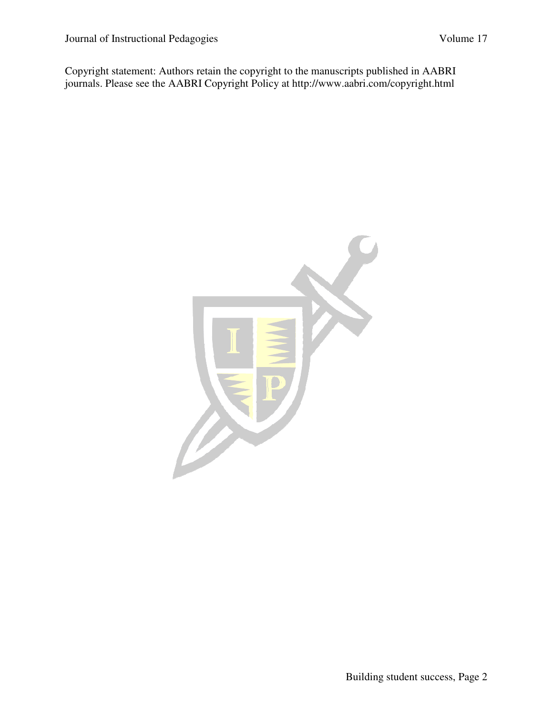Copyright statement: Authors retain the copyright to the manuscripts published in AABRI journals. Please see the AABRI Copyright Policy at http://www.aabri.com/copyright.html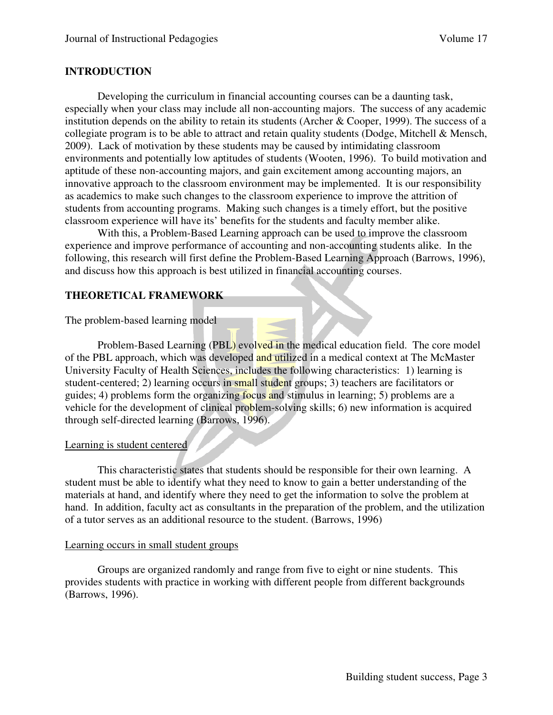#### **INTRODUCTION**

 Developing the curriculum in financial accounting courses can be a daunting task, especially when your class may include all non-accounting majors. The success of any academic institution depends on the ability to retain its students (Archer & Cooper, 1999). The success of a collegiate program is to be able to attract and retain quality students (Dodge, Mitchell & Mensch, 2009). Lack of motivation by these students may be caused by intimidating classroom environments and potentially low aptitudes of students (Wooten, 1996). To build motivation and aptitude of these non-accounting majors, and gain excitement among accounting majors, an innovative approach to the classroom environment may be implemented. It is our responsibility as academics to make such changes to the classroom experience to improve the attrition of students from accounting programs. Making such changes is a timely effort, but the positive classroom experience will have its' benefits for the students and faculty member alike.

 With this, a Problem-Based Learning approach can be used to improve the classroom experience and improve performance of accounting and non-accounting students alike. In the following, this research will first define the Problem-Based Learning Approach (Barrows, 1996), and discuss how this approach is best utilized in financial accounting courses.

## **THEORETICAL FRAMEWORK**

The problem-based learning model

Problem-Based Learning (PBL) evolved in the medical education field. The core model of the PBL approach, which was developed and utilized in a medical context at The McMaster University Faculty of Health Sciences, includes the following characteristics: 1) learning is student-centered; 2) learning occurs in small student groups; 3) teachers are facilitators or guides; 4) problems form the organizing focus and stimulus in learning; 5) problems are a vehicle for the development of clinical problem-solving skills; 6) new information is acquired through self-directed learning (Barrows, 1996).

#### Learning is student centered

 This characteristic states that students should be responsible for their own learning. A student must be able to identify what they need to know to gain a better understanding of the materials at hand, and identify where they need to get the information to solve the problem at hand. In addition, faculty act as consultants in the preparation of the problem, and the utilization of a tutor serves as an additional resource to the student. (Barrows, 1996)

#### Learning occurs in small student groups

 Groups are organized randomly and range from five to eight or nine students. This provides students with practice in working with different people from different backgrounds (Barrows, 1996).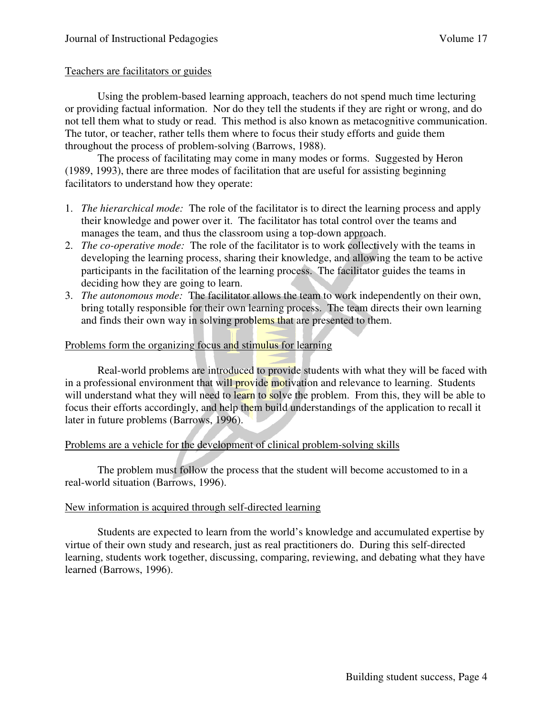#### Teachers are facilitators or guides

 Using the problem-based learning approach, teachers do not spend much time lecturing or providing factual information. Nor do they tell the students if they are right or wrong, and do not tell them what to study or read. This method is also known as metacognitive communication. The tutor, or teacher, rather tells them where to focus their study efforts and guide them throughout the process of problem-solving (Barrows, 1988).

 The process of facilitating may come in many modes or forms. Suggested by Heron (1989, 1993), there are three modes of facilitation that are useful for assisting beginning facilitators to understand how they operate:

- 1. *The hierarchical mode:* The role of the facilitator is to direct the learning process and apply their knowledge and power over it. The facilitator has total control over the teams and manages the team, and thus the classroom using a top-down approach.
- 2. *The co-operative mode:* The role of the facilitator is to work collectively with the teams in developing the learning process, sharing their knowledge, and allowing the team to be active participants in the facilitation of the learning process. The facilitator guides the teams in deciding how they are going to learn.
- 3. *The autonomous mode:* The facilitator allows the team to work independently on their own, bring totally responsible for their own learning process. The team directs their own learning and finds their own way in solving problems that are presented to them.

#### Problems form the organizing focus and stimulus for learning

 Real-world problems are introduced to provide students with what they will be faced with in a professional environment that will provide motivation and relevance to learning. Students will understand what they will need to learn to solve the problem. From this, they will be able to focus their efforts accordingly, and help them build understandings of the application to recall it later in future problems (Barrows, 1996).

## Problems are a vehicle for the development of clinical problem-solving skills

 The problem must follow the process that the student will become accustomed to in a real-world situation (Barrows, 1996).

## New information is acquired through self-directed learning

 Students are expected to learn from the world's knowledge and accumulated expertise by virtue of their own study and research, just as real practitioners do. During this self-directed learning, students work together, discussing, comparing, reviewing, and debating what they have learned (Barrows, 1996).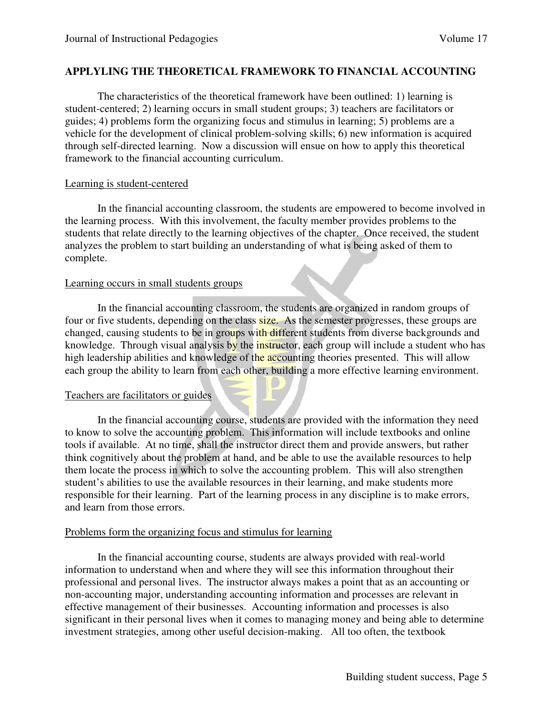#### **APPLYLING THE THEORETICAL FRAMEWORK TO FINANCIAL ACCOUNTING**

The characteristics of the theoretical framework have been outlined: 1) learning is student-centered; 2) learning occurs in small student groups; 3) teachers are facilitators or guides; 4) problems form the organizing focus and stimulus in learning; 5) problems are a vehicle for the development of clinical problem-solving skills; 6) new information is acquired through self-directed learning. Now a discussion will ensue on how to apply this theoretical framework to the financial accounting curriculum.

#### Learning is student-centered

In the financial accounting classroom, the students are empowered to become involved in the learning process. With this involvement, the faculty member provides problems to the students that relate directly to the learning objectives of the chapter. Once received, the student analyzes the problem to start building an understanding of what is being asked of them to complete.

#### Learning occurs in small students groups

 In the financial accounting classroom, the students are organized in random groups of four or five students, depending on the class **size.** As the semester progresses, these groups are changed, causing students to be in groups with different students from diverse backgrounds and knowledge. Through visual analysis by the *instructor*, each group will include a student who has high leadership abilities and knowledge of the accounting theories presented. This will allow each group the ability to learn from each other, building a more effective learning environment.

#### Teachers are facilitators or guides

In the financial accounting course, students are provided with the information they need to know to solve the accounting problem. This information will include textbooks and online tools if available. At no time, shall the instructor direct them and provide answers, but rather think cognitively about the problem at hand, and be able to use the available resources to help them locate the process in which to solve the accounting problem. This will also strengthen student's abilities to use the available resources in their learning, and make students more responsible for their learning. Part of the learning process in any discipline is to make errors, and learn from those errors.

#### Problems form the organizing focus and stimulus for learning

In the financial accounting course, students are always provided with real-world information to understand when and where they will see this information throughout their professional and personal lives. The instructor always makes a point that as an accounting or non-accounting major, understanding accounting information and processes are relevant in effective management of their businesses. Accounting information and processes is also significant in their personal lives when it comes to managing money and being able to determine investment strategies, among other useful decision-making. All too often, the textbook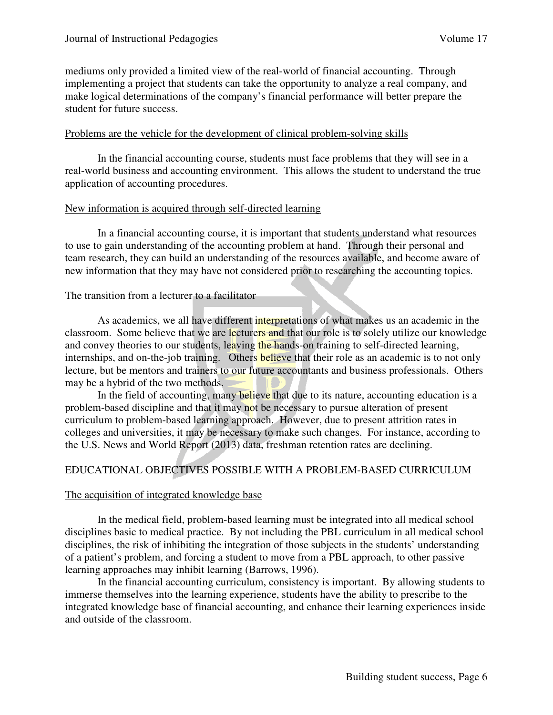mediums only provided a limited view of the real-world of financial accounting. Through implementing a project that students can take the opportunity to analyze a real company, and make logical determinations of the company's financial performance will better prepare the student for future success.

#### Problems are the vehicle for the development of clinical problem-solving skills

In the financial accounting course, students must face problems that they will see in a real-world business and accounting environment. This allows the student to understand the true application of accounting procedures.

#### New information is acquired through self-directed learning

 In a financial accounting course, it is important that students understand what resources to use to gain understanding of the accounting problem at hand. Through their personal and team research, they can build an understanding of the resources available, and become aware of new information that they may have not considered prior to researching the accounting topics.

#### The transition from a lecturer to a facilitator

 As academics, we all have different interpretations of what makes us an academic in the classroom. Some believe that we are lecturers and that our role is to solely utilize our knowledge and convey theories to our students, leaving the hands-on training to self-directed learning, internships, and on-the-job training. Others believe that their role as an academic is to not only lecture, but be mentors and trainers to our future accountants and business professionals. Others may be a hybrid of the two methods.

In the field of accounting, many believe that due to its nature, accounting education is a problem-based discipline and that it may not be necessary to pursue alteration of present curriculum to problem-based learning approach. However, due to present attrition rates in colleges and universities, it may be necessary to make such changes. For instance, according to the U.S. News and World Report (2013) data, freshman retention rates are declining.

#### EDUCATIONAL OBJECTIVES POSSIBLE WITH A PROBLEM-BASED CURRICULUM

#### The acquisition of integrated knowledge base

 In the medical field, problem-based learning must be integrated into all medical school disciplines basic to medical practice. By not including the PBL curriculum in all medical school disciplines, the risk of inhibiting the integration of those subjects in the students' understanding of a patient's problem, and forcing a student to move from a PBL approach, to other passive learning approaches may inhibit learning (Barrows, 1996).

 In the financial accounting curriculum, consistency is important. By allowing students to immerse themselves into the learning experience, students have the ability to prescribe to the integrated knowledge base of financial accounting, and enhance their learning experiences inside and outside of the classroom.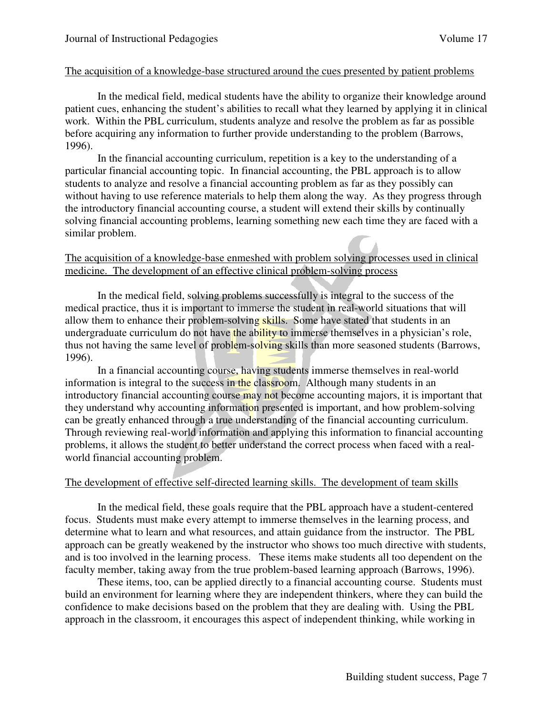#### The acquisition of a knowledge-base structured around the cues presented by patient problems

 In the medical field, medical students have the ability to organize their knowledge around patient cues, enhancing the student's abilities to recall what they learned by applying it in clinical work. Within the PBL curriculum, students analyze and resolve the problem as far as possible before acquiring any information to further provide understanding to the problem (Barrows, 1996).

 In the financial accounting curriculum, repetition is a key to the understanding of a particular financial accounting topic. In financial accounting, the PBL approach is to allow students to analyze and resolve a financial accounting problem as far as they possibly can without having to use reference materials to help them along the way. As they progress through the introductory financial accounting course, a student will extend their skills by continually solving financial accounting problems, learning something new each time they are faced with a similar problem.

#### The acquisition of a knowledge-base enmeshed with problem solving processes used in clinical medicine. The development of an effective clinical problem-solving process

 In the medical field, solving problems successfully is integral to the success of the medical practice, thus it is important to immerse the student in real-world situations that will allow them to enhance their problem-solving skills. Some have stated that students in an undergraduate curriculum do not have the ability to immerse themselves in a physician's role, thus not having the same level of problem-solving skills than more seasoned students (Barrows, 1996).

 In a financial accounting course, having students immerse themselves in real-world information is integral to the success in the classroom. Although many students in an introductory financial accounting course may not become accounting majors, it is important that they understand why accounting information presented is important, and how problem-solving can be greatly enhanced through a true understanding of the financial accounting curriculum. Through reviewing real-world information and applying this information to financial accounting problems, it allows the student to better understand the correct process when faced with a realworld financial accounting problem.

#### The development of effective self-directed learning skills. The development of team skills

 In the medical field, these goals require that the PBL approach have a student-centered focus. Students must make every attempt to immerse themselves in the learning process, and determine what to learn and what resources, and attain guidance from the instructor. The PBL approach can be greatly weakened by the instructor who shows too much directive with students, and is too involved in the learning process. These items make students all too dependent on the faculty member, taking away from the true problem-based learning approach (Barrows, 1996).

 These items, too, can be applied directly to a financial accounting course. Students must build an environment for learning where they are independent thinkers, where they can build the confidence to make decisions based on the problem that they are dealing with. Using the PBL approach in the classroom, it encourages this aspect of independent thinking, while working in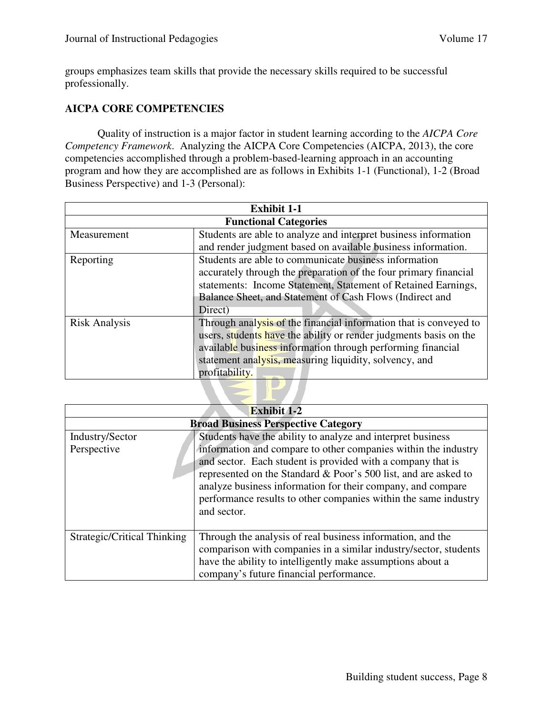groups emphasizes team skills that provide the necessary skills required to be successful professionally.

## **AICPA CORE COMPETENCIES**

Quality of instruction is a major factor in student learning according to the *AICPA Core Competency Framework*. Analyzing the AICPA Core Competencies (AICPA, 2013), the core competencies accomplished through a problem-based-learning approach in an accounting program and how they are accomplished are as follows in Exhibits 1-1 (Functional), 1-2 (Broad Business Perspective) and 1-3 (Personal):

| <b>Exhibit 1-1</b>                                                |  |  |
|-------------------------------------------------------------------|--|--|
| <b>Functional Categories</b>                                      |  |  |
| Students are able to analyze and interpret business information   |  |  |
| and render judgment based on available business information.      |  |  |
| Students are able to communicate business information             |  |  |
| accurately through the preparation of the four primary financial  |  |  |
| statements: Income Statement, Statement of Retained Earnings,     |  |  |
| Balance Sheet, and Statement of Cash Flows (Indirect and          |  |  |
|                                                                   |  |  |
| Through analysis of the financial information that is conveyed to |  |  |
| users, students have the ability or render judgments basis on the |  |  |
| available business information through performing financial       |  |  |
| statement analysis, measuring liquidity, solvency, and            |  |  |
|                                                                   |  |  |
|                                                                   |  |  |
|                                                                   |  |  |

| <b>Exhibit 1-2</b>                         |                                                                                                                                                                                                                                                                                                                                                                                                                  |  |
|--------------------------------------------|------------------------------------------------------------------------------------------------------------------------------------------------------------------------------------------------------------------------------------------------------------------------------------------------------------------------------------------------------------------------------------------------------------------|--|
| <b>Broad Business Perspective Category</b> |                                                                                                                                                                                                                                                                                                                                                                                                                  |  |
| Industry/Sector<br>Perspective             | Students have the ability to analyze and interpret business<br>information and compare to other companies within the industry<br>and sector. Each student is provided with a company that is<br>represented on the Standard & Poor's 500 list, and are asked to<br>analyze business information for their company, and compare<br>performance results to other companies within the same industry<br>and sector. |  |
| Strategic/Critical Thinking                | Through the analysis of real business information, and the<br>comparison with companies in a similar industry/sector, students<br>have the ability to intelligently make assumptions about a<br>company's future financial performance.                                                                                                                                                                          |  |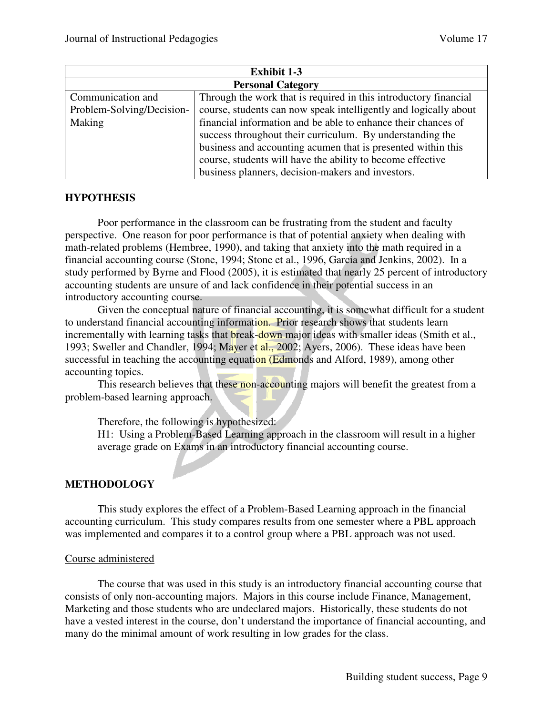| <b>Exhibit 1-3</b>                                        |                                                                  |  |
|-----------------------------------------------------------|------------------------------------------------------------------|--|
| <b>Personal Category</b>                                  |                                                                  |  |
| Communication and                                         | Through the work that is required in this introductory financial |  |
| Problem-Solving/Decision-                                 | course, students can now speak intelligently and logically about |  |
| Making                                                    | financial information and be able to enhance their chances of    |  |
| success throughout their curriculum. By understanding the |                                                                  |  |
|                                                           | business and accounting acumen that is presented within this     |  |
|                                                           | course, students will have the ability to become effective       |  |
|                                                           | business planners, decision-makers and investors.                |  |

#### **HYPOTHESIS**

Poor performance in the classroom can be frustrating from the student and faculty perspective. One reason for poor performance is that of potential anxiety when dealing with math-related problems (Hembree, 1990), and taking that anxiety into the math required in a financial accounting course (Stone, 1994; Stone et al., 1996, Garcia and Jenkins, 2002). In a study performed by Byrne and Flood (2005), it is estimated that nearly 25 percent of introductory accounting students are unsure of and lack confidence in their potential success in an introductory accounting course.

Given the conceptual nature of financial accounting, it is somewhat difficult for a student to understand financial accounting information. Prior research shows that students learn incrementally with learning tasks that break-down major ideas with smaller ideas (Smith et al., 1993; Sweller and Chandler, 1994; Mayer et al., 2002; Ayers, 2006). These ideas have been successful in teaching the accounting equation (Edmonds and Alford, 1989), among other accounting topics.

This research believes that these non-accounting majors will benefit the greatest from a problem-based learning approach.

Therefore, the following is hypothesized:

H1: Using a Problem-Based Learning approach in the classroom will result in a higher average grade on Exams in an introductory financial accounting course.

## **METHODOLOGY**

This study explores the effect of a Problem-Based Learning approach in the financial accounting curriculum. This study compares results from one semester where a PBL approach was implemented and compares it to a control group where a PBL approach was not used.

#### Course administered

 The course that was used in this study is an introductory financial accounting course that consists of only non-accounting majors. Majors in this course include Finance, Management, Marketing and those students who are undeclared majors. Historically, these students do not have a vested interest in the course, don't understand the importance of financial accounting, and many do the minimal amount of work resulting in low grades for the class.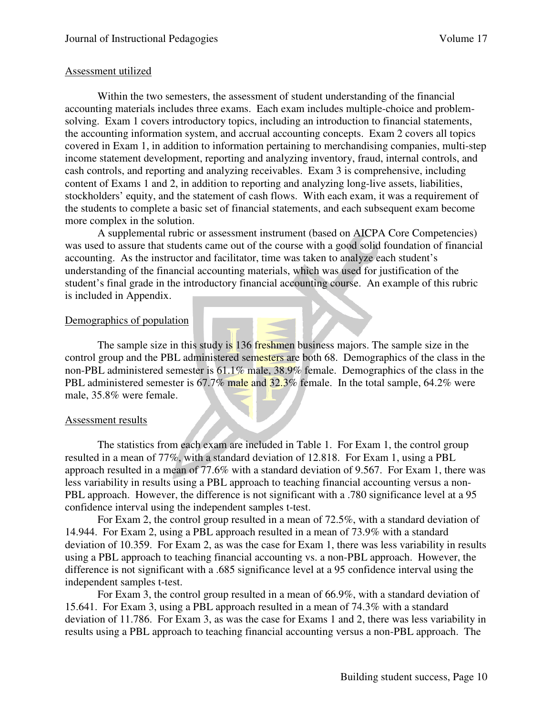#### Assessment utilized

 Within the two semesters, the assessment of student understanding of the financial accounting materials includes three exams. Each exam includes multiple-choice and problemsolving. Exam 1 covers introductory topics, including an introduction to financial statements, the accounting information system, and accrual accounting concepts. Exam 2 covers all topics covered in Exam 1, in addition to information pertaining to merchandising companies, multi-step income statement development, reporting and analyzing inventory, fraud, internal controls, and cash controls, and reporting and analyzing receivables. Exam 3 is comprehensive, including content of Exams 1 and 2, in addition to reporting and analyzing long-live assets, liabilities, stockholders' equity, and the statement of cash flows. With each exam, it was a requirement of the students to complete a basic set of financial statements, and each subsequent exam become more complex in the solution.

A supplemental rubric or assessment instrument (based on AICPA Core Competencies) was used to assure that students came out of the course with a good solid foundation of financial accounting. As the instructor and facilitator, time was taken to analyze each student's understanding of the financial accounting materials, which was used for justification of the student's final grade in the introductory financial accounting course. An example of this rubric is included in Appendix.

#### Demographics of population

The sample size in this study is 136 freshmen business majors. The sample size in the control group and the PBL administered semesters are both 68. Demographics of the class in the non-PBL administered semester is 61.1% male, 38.9% female. Demographics of the class in the PBL administered semester is 67.7% male and 32.3% female. In the total sample, 64.2% were male, 35.8% were female.

#### Assessment results

 The statistics from each exam are included in Table 1. For Exam 1, the control group resulted in a mean of 77%, with a standard deviation of 12.818. For Exam 1, using a PBL approach resulted in a mean of 77.6% with a standard deviation of 9.567. For Exam 1, there was less variability in results using a PBL approach to teaching financial accounting versus a non-PBL approach. However, the difference is not significant with a .780 significance level at a 95 confidence interval using the independent samples t-test.

 For Exam 2, the control group resulted in a mean of 72.5%, with a standard deviation of 14.944. For Exam 2, using a PBL approach resulted in a mean of 73.9% with a standard deviation of 10.359. For Exam 2, as was the case for Exam 1, there was less variability in results using a PBL approach to teaching financial accounting vs. a non-PBL approach. However, the difference is not significant with a .685 significance level at a 95 confidence interval using the independent samples t-test.

 For Exam 3, the control group resulted in a mean of 66.9%, with a standard deviation of 15.641. For Exam 3, using a PBL approach resulted in a mean of 74.3% with a standard deviation of 11.786. For Exam 3, as was the case for Exams 1 and 2, there was less variability in results using a PBL approach to teaching financial accounting versus a non-PBL approach. The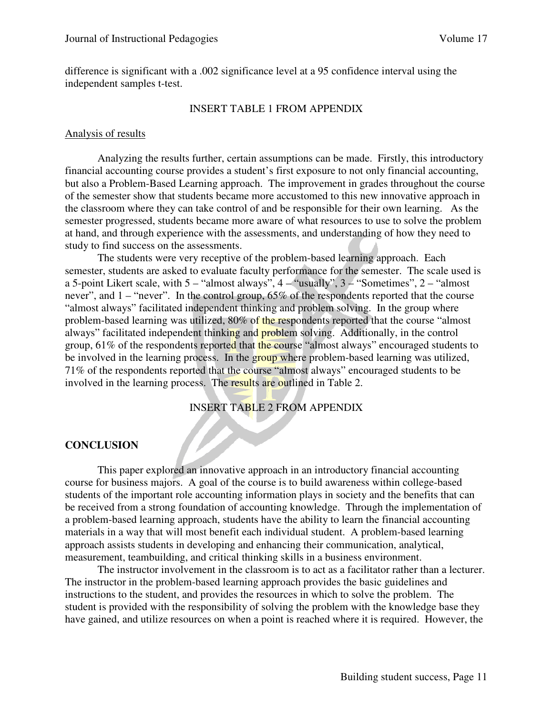difference is significant with a .002 significance level at a 95 confidence interval using the independent samples t-test.

#### INSERT TABLE 1 FROM APPENDIX

#### Analysis of results

 Analyzing the results further, certain assumptions can be made. Firstly, this introductory financial accounting course provides a student's first exposure to not only financial accounting, but also a Problem-Based Learning approach. The improvement in grades throughout the course of the semester show that students became more accustomed to this new innovative approach in the classroom where they can take control of and be responsible for their own learning. As the semester progressed, students became more aware of what resources to use to solve the problem at hand, and through experience with the assessments, and understanding of how they need to study to find success on the assessments.

 The students were very receptive of the problem-based learning approach. Each semester, students are asked to evaluate faculty performance for the semester. The scale used is a 5-point Likert scale, with  $5 -$  "almost always",  $4 -$  "usually",  $3 -$  "Sometimes",  $2 -$  "almost never", and 1 – "never". In the control group, 65% of the respondents reported that the course "almost always" facilitated independent thinking and problem solving. In the group where problem-based learning was utilized, 80% of the respondents reported that the course "almost always" facilitated independent thinking and problem solving. Additionally, in the control group, 61% of the respondents reported that the course "almost always" encouraged students to be involved in the learning process. In the group where problem-based learning was utilized, 71% of the respondents reported that the course "almost always" encouraged students to be involved in the learning process. The results are outlined in Table 2.

## INSERT TABLE 2 FROM APPENDIX

#### **CONCLUSION**

This paper explored an innovative approach in an introductory financial accounting course for business majors. A goal of the course is to build awareness within college-based students of the important role accounting information plays in society and the benefits that can be received from a strong foundation of accounting knowledge. Through the implementation of a problem-based learning approach, students have the ability to learn the financial accounting materials in a way that will most benefit each individual student. A problem-based learning approach assists students in developing and enhancing their communication, analytical, measurement, teambuilding, and critical thinking skills in a business environment.

 The instructor involvement in the classroom is to act as a facilitator rather than a lecturer. The instructor in the problem-based learning approach provides the basic guidelines and instructions to the student, and provides the resources in which to solve the problem. The student is provided with the responsibility of solving the problem with the knowledge base they have gained, and utilize resources on when a point is reached where it is required. However, the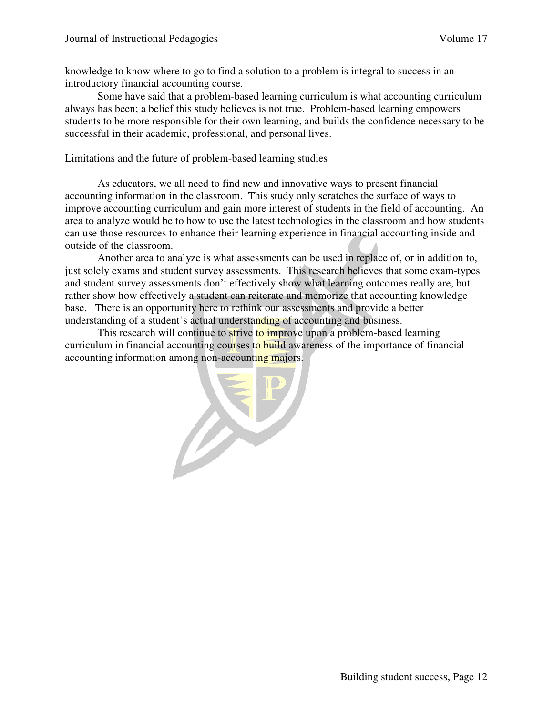knowledge to know where to go to find a solution to a problem is integral to success in an introductory financial accounting course.

 Some have said that a problem-based learning curriculum is what accounting curriculum always has been; a belief this study believes is not true. Problem-based learning empowers students to be more responsible for their own learning, and builds the confidence necessary to be successful in their academic, professional, and personal lives.

Limitations and the future of problem-based learning studies

 As educators, we all need to find new and innovative ways to present financial accounting information in the classroom. This study only scratches the surface of ways to improve accounting curriculum and gain more interest of students in the field of accounting. An area to analyze would be to how to use the latest technologies in the classroom and how students can use those resources to enhance their learning experience in financial accounting inside and outside of the classroom.

Another area to analyze is what assessments can be used in replace of, or in addition to, just solely exams and student survey assessments. This research believes that some exam-types and student survey assessments don't effectively show what learning outcomes really are, but rather show how effectively a student can reiterate and memorize that accounting knowledge base. There is an opportunity here to rethink our assessments and provide a better understanding of a student's actual understanding of accounting and business.

This research will continue to strive to improve upon a problem-based learning curriculum in financial accounting courses to build awareness of the importance of financial accounting information among non-accounting majors.

EP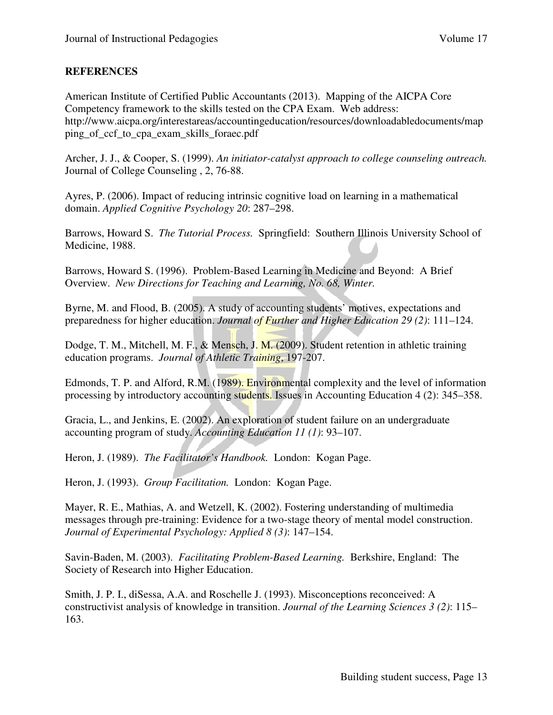## **REFERENCES**

American Institute of Certified Public Accountants (2013). Mapping of the AICPA Core Competency framework to the skills tested on the CPA Exam. Web address: http://www.aicpa.org/interestareas/accountingeducation/resources/downloadabledocuments/map ping\_of\_ccf\_to\_cpa\_exam\_skills\_foraec.pdf

Archer, J. J., & Cooper, S. (1999). *An initiator-catalyst approach to college counseling outreach.* Journal of College Counseling , 2, 76-88.

Ayres, P. (2006). Impact of reducing intrinsic cognitive load on learning in a mathematical domain. *Applied Cognitive Psychology 20*: 287–298.

Barrows, Howard S. *The Tutorial Process.* Springfield: Southern Illinois University School of Medicine, 1988.

Barrows, Howard S. (1996). Problem-Based Learning in Medicine and Beyond: A Brief Overview. *New Directions for Teaching and Learning, No. 68, Winter.* 

Byrne, M. and Flood, B. (2005). A study of accounting students' motives, expectations and preparedness for higher education. *Journal of Further and Higher Education 29 (2)*: 111–124.

Dodge, T. M., Mitchell, M. F., & Mensch, J. M. (2009). Student retention in athletic training education programs. *Journal of Athletic Training*, 197-207.

Edmonds, T. P. and Alford, R.M. (1989). Environmental complexity and the level of information processing by introductory accounting students. Issues in Accounting Education 4 (2): 345–358.

Gracia, L., and Jenkins, E. (2002). An exploration of student failure on an undergraduate accounting program of study. *Accounting Education 11 (1)*: 93–107.

Heron, J. (1989). *The Facilitator's Handbook.* London: Kogan Page.

Heron, J. (1993). *Group Facilitation.* London: Kogan Page.

Mayer, R. E., Mathias, A. and Wetzell, K. (2002). Fostering understanding of multimedia messages through pre-training: Evidence for a two-stage theory of mental model construction. *Journal of Experimental Psychology: Applied 8 (3)*: 147–154.

Savin-Baden, M. (2003). *Facilitating Problem-Based Learning.* Berkshire, England: The Society of Research into Higher Education.

Smith, J. P. I., diSessa, A.A. and Roschelle J. (1993). Misconceptions reconceived: A constructivist analysis of knowledge in transition. *Journal of the Learning Sciences 3 (2)*: 115– 163.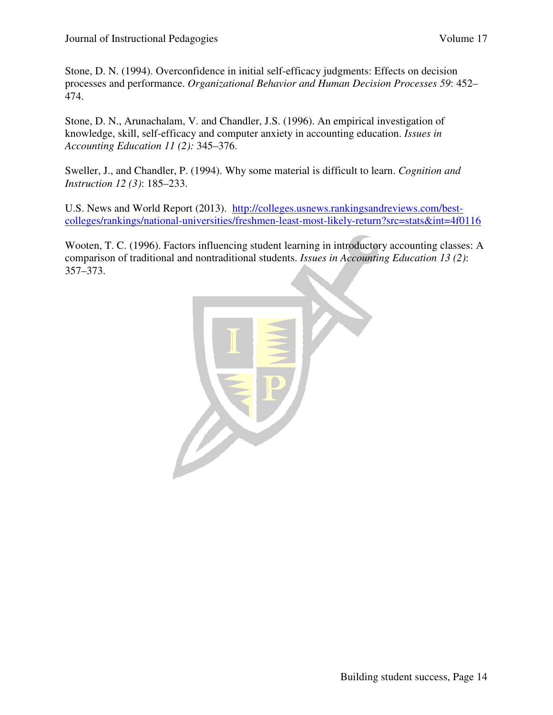Stone, D. N. (1994). Overconfidence in initial self-efficacy judgments: Effects on decision processes and performance. *Organizational Behavior and Human Decision Processes 59*: 452– 474.

Stone, D. N., Arunachalam, V. and Chandler, J.S. (1996). An empirical investigation of knowledge, skill, self-efficacy and computer anxiety in accounting education. *Issues in Accounting Education 11 (2):* 345–376.

Sweller, J., and Chandler, P. (1994). Why some material is difficult to learn. *Cognition and Instruction 12 (3)*: 185–233.

U.S. News and World Report (2013). http://colleges.usnews.rankingsandreviews.com/bestcolleges/rankings/national-universities/freshmen-least-most-likely-return?src=stats&int=4f0116

Wooten, T. C. (1996). Factors influencing student learning in introductory accounting classes: A comparison of traditional and nontraditional students. *Issues in Accounting Education 13 (2)*: 357–373.

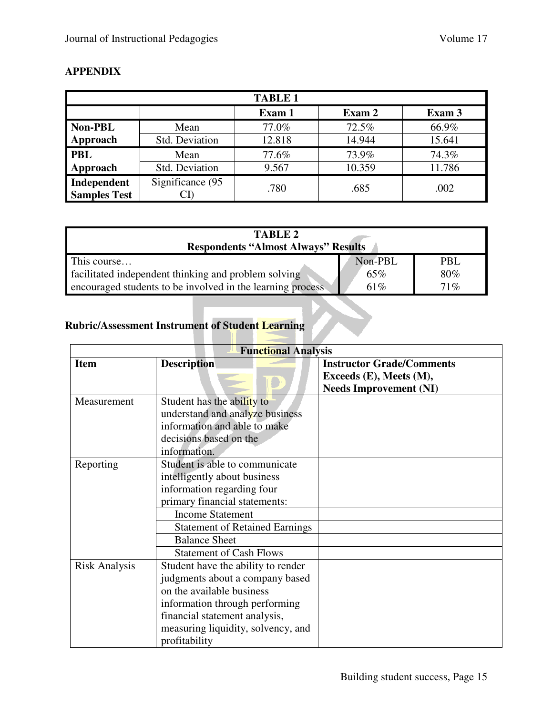| <b>TABLE 1</b>                     |                  |        |        |        |
|------------------------------------|------------------|--------|--------|--------|
|                                    |                  | Exam 1 | Exam 2 | Exam 3 |
| <b>Non-PBL</b>                     | Mean             | 77.0%  | 72.5%  | 66.9%  |
| Approach                           | Std. Deviation   | 12.818 | 14.944 | 15.641 |
| <b>PBL</b>                         | Mean             | 77.6%  | 73.9%  | 74.3%  |
| Approach                           | Std. Deviation   | 9.567  | 10.359 | 11.786 |
| Independent<br><b>Samples Test</b> | Significance (95 | .780   | .685   | .002   |

## **APPENDIX**

| <b>TABLE 2</b>                                              |         |        |
|-------------------------------------------------------------|---------|--------|
| <b>Respondents "Almost Always" Results</b>                  |         |        |
| This course                                                 | Non-PBL | PBL    |
| facilitated independent thinking and problem solving        | 65%     | 80%    |
| encouraged students to be involved in the learning process. | 61\%    | $71\%$ |

# **Rubric/Assessment Instrument of Student Learning**

| <b>Functional Analysis</b> |                                                                                                                                                                                                                                                             |                                                                                              |  |
|----------------------------|-------------------------------------------------------------------------------------------------------------------------------------------------------------------------------------------------------------------------------------------------------------|----------------------------------------------------------------------------------------------|--|
| <b>Item</b>                | <b>Description</b>                                                                                                                                                                                                                                          | <b>Instructor Grade/Comments</b><br>Exceeds (E), Meets (M),<br><b>Needs Improvement (NI)</b> |  |
| Measurement                | Student has the ability to<br>understand and analyze business<br>information and able to make<br>decisions based on the<br>information.                                                                                                                     |                                                                                              |  |
| Reporting                  | Student is able to communicate<br>intelligently about business<br>information regarding four<br>primary financial statements:<br><b>Income Statement</b><br><b>Statement of Retained Earnings</b><br><b>Balance Sheet</b><br><b>Statement of Cash Flows</b> |                                                                                              |  |
| <b>Risk Analysis</b>       | Student have the ability to render<br>judgments about a company based<br>on the available business<br>information through performing<br>financial statement analysis,<br>measuring liquidity, solvency, and<br>profitability                                |                                                                                              |  |